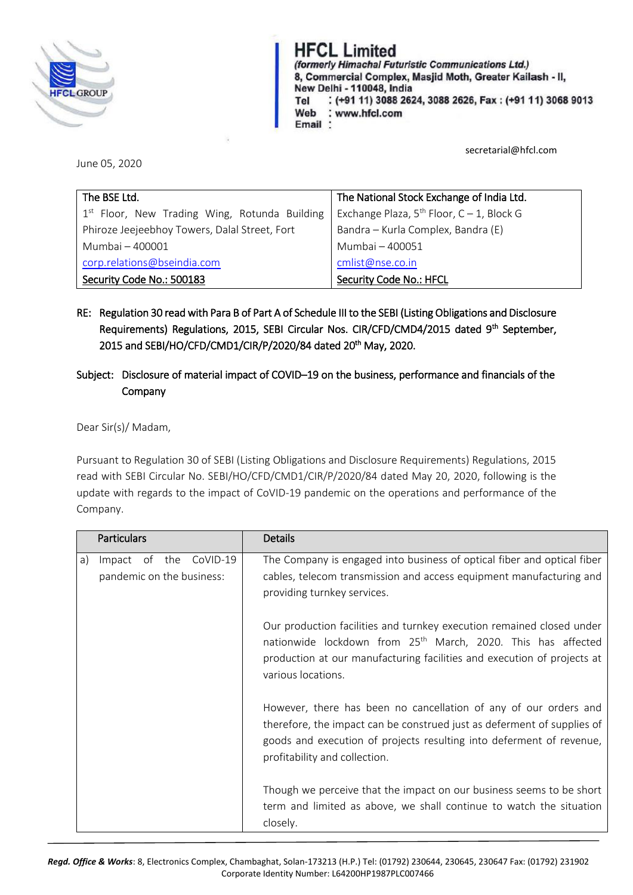

# **HFCL Limited**

(formerly Himachal Futuristic Communications Ltd.) 8, Commercial Complex, Masjid Moth, Greater Kailash - II, New Delhi - 110048, India : (+91 11) 3088 2624, 3088 2626, Fax: (+91 11) 3068 9013 Tel Web : www.hfcl.com Email:

secretarial@hfcl.com

June 05, 2020

| The BSE Ltd.                                    | The National Stock Exchange of India Ltd.      |
|-------------------------------------------------|------------------------------------------------|
| $1st$ Floor, New Trading Wing, Rotunda Building | Exchange Plaza, $5^{th}$ Floor, C - 1, Block G |
| Phiroze Jeejeebhoy Towers, Dalal Street, Fort   | Bandra – Kurla Complex, Bandra (E)             |
| Mumbai - 400001                                 | Mumbai - 400051                                |
| corp.relations@bseindia.com                     | cmlist@nse.co.in                               |
| Security Code No.: 500183                       | Security Code No.: HFCL                        |

RE: Regulation 30 read with Para B of Part A of Schedule III to the SEBI (Listing Obligations and Disclosure Requirements) Regulations, 2015, SEBI Circular Nos. CIR/CFD/CMD4/2015 dated 9<sup>th</sup> September, 2015 and SEBI/HO/CFD/CMD1/CIR/P/2020/84 dated 20<sup>th</sup> May, 2020.

## Subject: Disclosure of material impact of COVID–19 on the business, performance and financials of the **Company**

Dear Sir(s)/ Madam,

Pursuant to Regulation 30 of SEBI (Listing Obligations and Disclosure Requirements) Regulations, 2015 read with SEBI Circular No. SEBI/HO/CFD/CMD1/CIR/P/2020/84 dated May 20, 2020, following is the update with regards to the impact of CoVID-19 pandemic on the operations and performance of the Company.

|    | <b>Particulars</b>                                  | <b>Details</b>                                                                                                                                                                                                                                       |
|----|-----------------------------------------------------|------------------------------------------------------------------------------------------------------------------------------------------------------------------------------------------------------------------------------------------------------|
| a) | Impact of the CoVID-19<br>pandemic on the business: | The Company is engaged into business of optical fiber and optical fiber<br>cables, telecom transmission and access equipment manufacturing and<br>providing turnkey services.                                                                        |
|    |                                                     | Our production facilities and turnkey execution remained closed under<br>nationwide lockdown from 25 <sup>th</sup> March, 2020. This has affected<br>production at our manufacturing facilities and execution of projects at<br>various locations.   |
|    |                                                     | However, there has been no cancellation of any of our orders and<br>therefore, the impact can be construed just as deferment of supplies of<br>goods and execution of projects resulting into deferment of revenue,<br>profitability and collection. |
|    |                                                     | Though we perceive that the impact on our business seems to be short<br>term and limited as above, we shall continue to watch the situation<br>closely.                                                                                              |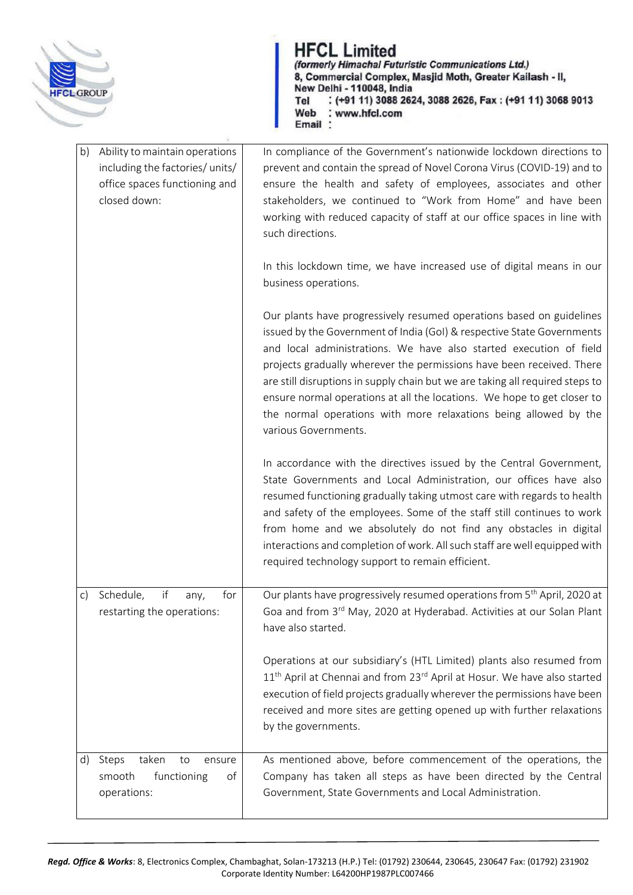

HFCL Limited<br>(formerly Himachal Futuristic Communications Ltd.) 8, Commercial Complex, Masjid Moth, Greater Kailash - II, New Delhi - 110048, India : (+91 11) 3088 2624, 3088 2626, Fax: (+91 11) 3068 9013 Tel Web : www.hfcl.com<br>Email :

| b)<br>Ability to maintain operations<br>including the factories/ units/<br>office spaces functioning and<br>closed down: | In compliance of the Government's nationwide lockdown directions to<br>prevent and contain the spread of Novel Corona Virus (COVID-19) and to<br>ensure the health and safety of employees, associates and other<br>stakeholders, we continued to "Work from Home" and have been<br>working with reduced capacity of staff at our office spaces in line with<br>such directions.                                                                                                                                                                      |
|--------------------------------------------------------------------------------------------------------------------------|-------------------------------------------------------------------------------------------------------------------------------------------------------------------------------------------------------------------------------------------------------------------------------------------------------------------------------------------------------------------------------------------------------------------------------------------------------------------------------------------------------------------------------------------------------|
|                                                                                                                          | In this lockdown time, we have increased use of digital means in our<br>business operations.                                                                                                                                                                                                                                                                                                                                                                                                                                                          |
|                                                                                                                          | Our plants have progressively resumed operations based on guidelines<br>issued by the Government of India (GoI) & respective State Governments<br>and local administrations. We have also started execution of field<br>projects gradually wherever the permissions have been received. There<br>are still disruptions in supply chain but we are taking all required steps to<br>ensure normal operations at all the locations. We hope to get closer to<br>the normal operations with more relaxations being allowed by the<br>various Governments. |
|                                                                                                                          | In accordance with the directives issued by the Central Government,<br>State Governments and Local Administration, our offices have also<br>resumed functioning gradually taking utmost care with regards to health<br>and safety of the employees. Some of the staff still continues to work<br>from home and we absolutely do not find any obstacles in digital<br>interactions and completion of work. All such staff are well equipped with<br>required technology support to remain efficient.                                                   |
| if<br>Schedule,<br>for<br>c)<br>any,<br>restarting the operations:                                                       | Our plants have progressively resumed operations from 5 <sup>th</sup> April, 2020 at<br>Goa and from 3rd May, 2020 at Hyderabad. Activities at our Solan Plant<br>have also started.                                                                                                                                                                                                                                                                                                                                                                  |
|                                                                                                                          | Operations at our subsidiary's (HTL Limited) plants also resumed from<br>11 <sup>th</sup> April at Chennai and from 23 <sup>rd</sup> April at Hosur. We have also started<br>execution of field projects gradually wherever the permissions have been<br>received and more sites are getting opened up with further relaxations<br>by the governments.                                                                                                                                                                                                |
| Steps<br>taken<br>d)<br>to<br>ensure<br>smooth<br>functioning<br>οf<br>operations:                                       | As mentioned above, before commencement of the operations, the<br>Company has taken all steps as have been directed by the Central<br>Government, State Governments and Local Administration.                                                                                                                                                                                                                                                                                                                                                         |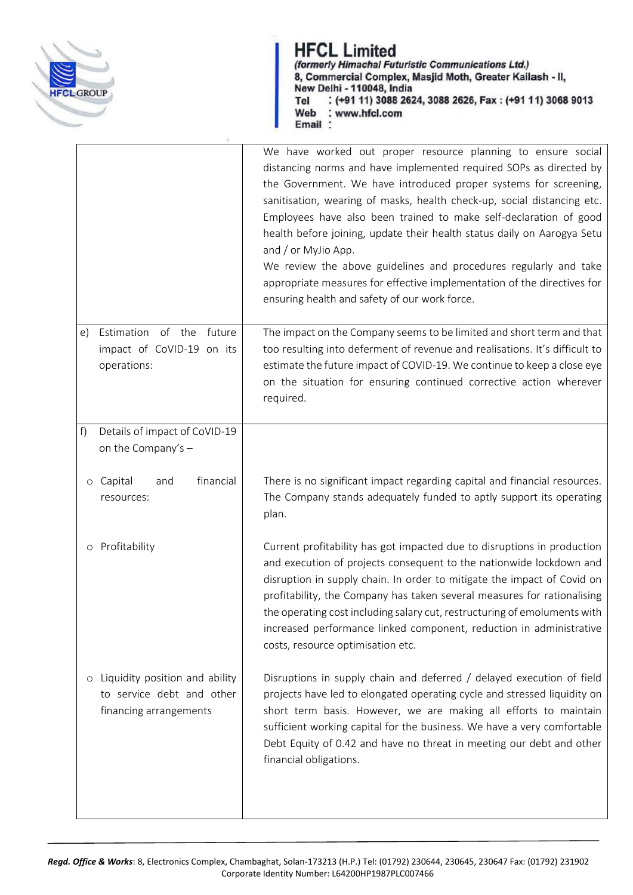

**HFCL Limited**<br>(formerly Himachal Futuristic Communications Ltd.) 8, Commercial Complex, Masjid Moth, Greater Kailash - II, New Delhi - 110048, India : (+91 11) 3088 2624, 3088 2626, Fax: (+91 11) 3068 9013 Tel Web : www.hfcl.com<br>Email :

|                                                                                                  | We have worked out proper resource planning to ensure social<br>distancing norms and have implemented required SOPs as directed by<br>the Government. We have introduced proper systems for screening,<br>sanitisation, wearing of masks, health check-up, social distancing etc.<br>Employees have also been trained to make self-declaration of good<br>health before joining, update their health status daily on Aarogya Setu<br>and / or MyJio App.<br>We review the above guidelines and procedures regularly and take<br>appropriate measures for effective implementation of the directives for<br>ensuring health and safety of our work force. |
|--------------------------------------------------------------------------------------------------|----------------------------------------------------------------------------------------------------------------------------------------------------------------------------------------------------------------------------------------------------------------------------------------------------------------------------------------------------------------------------------------------------------------------------------------------------------------------------------------------------------------------------------------------------------------------------------------------------------------------------------------------------------|
| Estimation of the<br>future<br>e)<br>impact of CoVID-19 on its<br>operations:                    | The impact on the Company seems to be limited and short term and that<br>too resulting into deferment of revenue and realisations. It's difficult to<br>estimate the future impact of COVID-19. We continue to keep a close eye<br>on the situation for ensuring continued corrective action wherever<br>required.                                                                                                                                                                                                                                                                                                                                       |
| f)<br>Details of impact of CoVID-19<br>on the Company's -                                        |                                                                                                                                                                                                                                                                                                                                                                                                                                                                                                                                                                                                                                                          |
| financial<br>o Capital<br>and<br>resources:                                                      | There is no significant impact regarding capital and financial resources.<br>The Company stands adequately funded to aptly support its operating<br>plan.                                                                                                                                                                                                                                                                                                                                                                                                                                                                                                |
| o Profitability                                                                                  | Current profitability has got impacted due to disruptions in production<br>and execution of projects consequent to the nationwide lockdown and<br>disruption in supply chain. In order to mitigate the impact of Covid on<br>profitability, the Company has taken several measures for rationalising<br>the operating cost including salary cut, restructuring of emoluments with<br>increased performance linked component, reduction in administrative<br>costs, resource optimisation etc.                                                                                                                                                            |
| Liquidity position and ability<br>$\circ$<br>to service debt and other<br>financing arrangements | Disruptions in supply chain and deferred / delayed execution of field<br>projects have led to elongated operating cycle and stressed liquidity on<br>short term basis. However, we are making all efforts to maintain<br>sufficient working capital for the business. We have a very comfortable<br>Debt Equity of 0.42 and have no threat in meeting our debt and other<br>financial obligations.                                                                                                                                                                                                                                                       |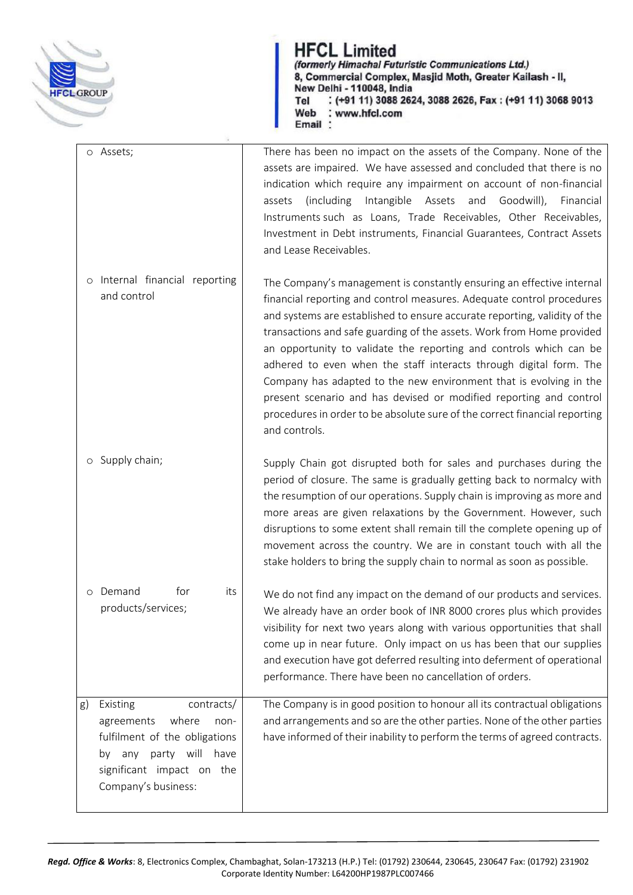

HFCL Limited<br>(formerly Himachal Futuristic Communications Ltd.) 8, Commercial Complex, Masjid Moth, Greater Kailash - II, New Delhi - 110048, India : (+91 11) 3088 2624, 3088 2626, Fax: (+91 11) 3068 9013 Tel Web : www.hfcl.com<br>Email :

| o Assets; |                                                                                                                                                                         | There has been no impact on the assets of the Company. None of the<br>assets are impaired. We have assessed and concluded that there is no<br>indication which require any impairment on account of non-financial<br>(including)<br>Intangible<br>Assets<br>and<br>Goodwill),<br>assets<br>Financial<br>Instruments such as Loans, Trade Receivables, Other Receivables,<br>Investment in Debt instruments, Financial Guarantees, Contract Assets<br>and Lease Receivables.                                                                                                                                                                                                                 |
|-----------|-------------------------------------------------------------------------------------------------------------------------------------------------------------------------|---------------------------------------------------------------------------------------------------------------------------------------------------------------------------------------------------------------------------------------------------------------------------------------------------------------------------------------------------------------------------------------------------------------------------------------------------------------------------------------------------------------------------------------------------------------------------------------------------------------------------------------------------------------------------------------------|
|           | o Internal financial reporting<br>and control                                                                                                                           | The Company's management is constantly ensuring an effective internal<br>financial reporting and control measures. Adequate control procedures<br>and systems are established to ensure accurate reporting, validity of the<br>transactions and safe guarding of the assets. Work from Home provided<br>an opportunity to validate the reporting and controls which can be<br>adhered to even when the staff interacts through digital form. The<br>Company has adapted to the new environment that is evolving in the<br>present scenario and has devised or modified reporting and control<br>procedures in order to be absolute sure of the correct financial reporting<br>and controls. |
|           | Supply chain;                                                                                                                                                           | Supply Chain got disrupted both for sales and purchases during the<br>period of closure. The same is gradually getting back to normalcy with<br>the resumption of our operations. Supply chain is improving as more and<br>more areas are given relaxations by the Government. However, such<br>disruptions to some extent shall remain till the complete opening up of<br>movement across the country. We are in constant touch with all the<br>stake holders to bring the supply chain to normal as soon as possible.                                                                                                                                                                     |
| $\circ$   | for<br>Demand<br>its<br>products/services;                                                                                                                              | We do not find any impact on the demand of our products and services.<br>We already have an order book of INR 8000 crores plus which provides<br>visibility for next two years along with various opportunities that shall<br>come up in near future. Only impact on us has been that our supplies<br>and execution have got deferred resulting into deferment of operational<br>performance. There have been no cancellation of orders.                                                                                                                                                                                                                                                    |
| g)<br>by  | Existing<br>contracts/<br>where<br>agreements<br>non-<br>fulfilment of the obligations<br>party will<br>have<br>any<br>significant impact on the<br>Company's business: | The Company is in good position to honour all its contractual obligations<br>and arrangements and so are the other parties. None of the other parties<br>have informed of their inability to perform the terms of agreed contracts.                                                                                                                                                                                                                                                                                                                                                                                                                                                         |